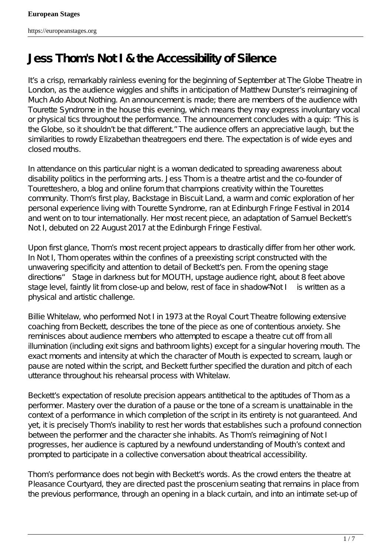## **Jess Thom's** *Not I* **& the Accessibility of Silence**

It s a crisp, remarkably rainless evening for the beginning of September at The Globe Theatre in London, as the audience wiggles and shifts in anticipation of Matthew Dunster's reimagining of *Much Ado About Nothing.* An announcement is made; there are members of the audience with Tourette Syndrome in the house this evening, which means they may express involuntary vocal or physical tics throughout the performance. The announcement concludes with a quip: " This is the Globe, so it shouldn' the that different" The audience offers an appreciative laugh, but the similarities to rowdy Elizabethan theatregoers end there. The expectation is of wide eyes and closed mouths.

In attendance on this particular night is a woman dedicated to spreading awareness about disability politics in the performing arts. Jess Thom is a theatre artist and the co-founder of Touretteshero, a blog and online forum that champions creativity within the Tourettes community. Thom's first playBackstage in Biscuit Land, a warm and comic exploration of her personal experience living with Tourette Syndrome, ran at Edinburgh Fringe Festival in 2014 and went on to tour internationally. Her most recent piece, an adaptation of Samuel Beckett's *Not I*, debuted on 22 August 2017 at the Edinburgh Fringe Festival.

Upon first glance, Thom's most recent project appears to drastically differ from her other work. In *Not I*, Thom operates within the confines of a preexisting script constructed with the unwavering specificity and attention to detail of Beckett's pen. From the opening stage directions— *Stage in darkness but for MOUTH, upstage audience right, about 8 feet above stage level, faintly lit from close-up and below, rest of face in shadow"—Not I* is written as a physical and artistic challenge.

Billie Whitelaw, who performed *Not I* in 1973 at the Royal Court Theatre following extensive coaching from Beckett, describes the tone of the piece as one of contentious anxiety. She reminisces about audience members who attempted to escape a theatre cut off from all illumination (including exit signs and bathroom lights) except for a singular hovering mouth. The exact moments and intensity at which the character of Mouth is expected to scream, laugh or pause are noted within the script, and Beckett further specified the duration and pitch of each utterance throughout his rehearsal process with Whitelaw.

Beckett's expectation of resolute precision appears antithetical to the aptitudes of Thom as a performer. Mastery over the duration of a pause or the tone of a scream is unattainable in the context of a performance in which completion of the script in its entirety is not guaranteed. And yet, it is precisely Thom's inability to rest her words that establishes such a profound connection between the performer and the character she inhabits. As Thom's reimagining of *Not I* progresses, her audience is captured by a newfound understanding of Mouth's context and prompted to participate in a collective conversation about theatrical accessibility.

Thom's performance does not begin with Beckett's words. As the crowd enters the theatre at Pleasance Courtyard, they are directed past the proscenium seating that remains in place from the previous performance, through an opening in a black curtain, and into an intimate set-up of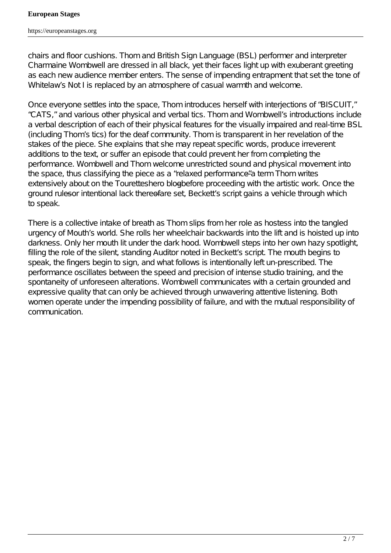chairs and floor cushions. Thom and British Sign Language (BSL) performer and interpreter Charmaine Wombwell are dressed in all black, yet their faces light up with exuberant greeting as each new audience member enters. The sense of impending entrapment that set the tone of Whitelaw  $\&$ ot *I* is replaced by an atmosphere of casual warmth and welcome.

Once everyone settles into the space, Thom introduces herself with interjections of "BISCUIT," "CATS," and various other physical and verbal tics. Thom and Wombwell's introductions include a verbal description of each of their physical features for the visually impaired and real-time BSL (including Thom's tics) for the deaf community. Thom is transparent in her revelation of the stakes of the piece. She explains that she may repeat specific words, produce irreverent additions to the text, or suffer an episode that could prevent her from completing the performance. Wombwell and Thom welcome unrestricted sound and physical movement into the space, thus classifying the piece as a "relaxed performance" a-term Thom writes extensively about on the Touretteshero blogbefore proceeding with the artistic work. Once the ground ruleser intentional lack thereofare set, Beckett's script gains a vehicle through which to speak.

There is a collective intake of breath as Thom slips from her role as hostess into the tangled urgency of Mouth's world. She rolls her wheelchair backwards into the lift and is hoisted up into darkness. Only her mouth lit under the dark hood. Wombwell steps into her own hazy spotlight, filling the role of the silent, standing Auditor noted in Beckett's script. The mouth begins to speak, the fingers begin to sign, and what follows is intentionally left un-prescribed. The performance oscillates between the speed and precision of intense studio training, and the spontaneity of unforeseen alterations. Wombwell communicates with a certain grounded and expressive quality that can only be achieved through unwavering attentive listening. Both women operate under the impending possibility of failure, and with the mutual responsibility of communication.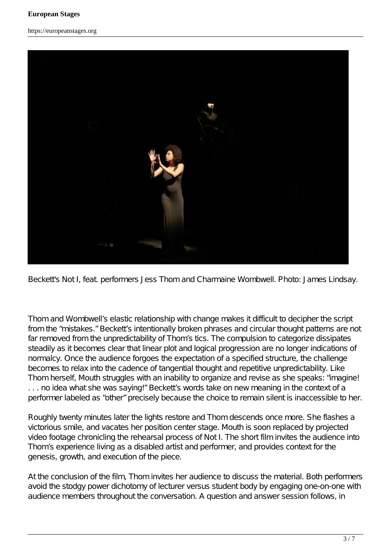https://europeanstages.org



Beckett's *Not I*, feat. performers Jess Thom and Charmaine Wombwell. Photo: James Lindsay.

Thom and Wombwell's elastic relationship with change makes it difficult to decipher the script from the " mistakes." Beckett's intentionally broken phrases and circular thought patterns are not far removed from the unpredictability of Thom's tics. The compulsion to categorize dissipates steadily as it becomes clear that linear plot and logical progression are no longer indications of normalcy. Once the audience forgoes the expectation of a specified structure, the challenge becomes to relax into the cadence of tangential thought and repetitive unpredictability. Like Thom herself, Mouth struggles with an inability to organize and revise as she speaks: "imagine! ... no idea what she was saying!" Beckett's words take on new meaning in the context of a performer labeled as "other" precisely because the choice to remain silent is inaccessible to her.

Roughly twenty minutes later the lights restore and Thom descends once more. She flashes a victorious smile, and vacates her position center stage. Mouth is soon replaced by projected video footage chronicling the rehearsal process of *Not I.* The short film invites the audience into Thom's experience living as a disabled artist and performer, and provides context for the genesis, growth, and execution of the piece.

At the conclusion of the film, Thom invites her audience to discuss the material. Both performers avoid the stodgy power dichotomy of lecturer versus student body by engaging one-on-one with audience members throughout the conversation. A question and answer session follows, in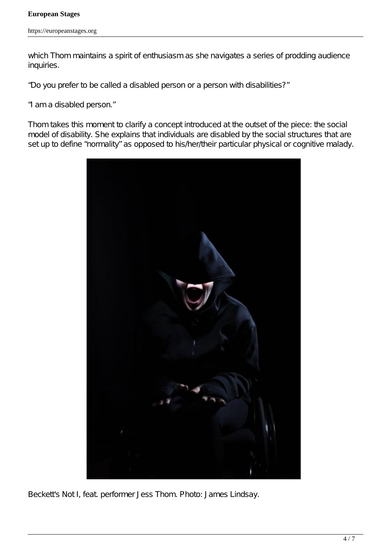#### **European Stages**

which Thom maintains a spirit of enthusiasm as she navigates a series of prodding audience inquiries.

- "Do you prefer to be called a disabled person or a person with disabilities?"
- "I am a disabled person."

Thom takes this moment to clarify a concept introduced at the outset of the piece: the social model of disability. She explains that individuals are disabled by the social structures that are set up to define "normality" as opposed to his/her/their particular physical or cognitive malady.



Beckett's *Not I*, feat. performer Jess Thom. Photo: James Lindsay.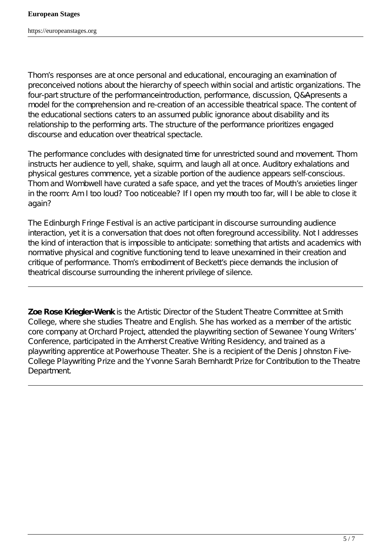Thom's responses are at once personal and educational, encouraging an examination of preconceived notions about the hierarchy of speech within social and artistic organizations. The four-part structure of the performanceintroduction, performance, discussion, Q&A presents a model for the comprehension and re-creation of an accessible theatrical space. The content of the educational sections caters to an assumed public ignorance about disability and its relationship to the performing arts. The structure of the performance prioritizes engaged discourse and education over theatrical spectacle.

The performance concludes with designated time for unrestricted sound and movement. Thom instructs her audience to yell, shake, squirm, and laugh all at once. Auditory exhalations and physical gestures commence, yet a sizable portion of the audience appears self-conscious. Thom and Wombwell have curated a safe space, and yet the traces of Mouth's anxieties linger in the room: Am I too loud? Too noticeable? If I open my mouth too far, will I be able to close it again?

The Edinburgh Fringe Festival is an active participant in discourse surrounding audience interaction, yet it is a conversation that does not often foreground accessibility. *Not I* addresses the kind of interaction that is impossible to anticipate: something that artists and academics with normative physical and cognitive functioning tend to leave unexamined in their creation and critique of performance. Thom's embodiment of Beckett's piece demands the inclusion of theatrical discourse surrounding the inherent privilege of silence.

**Zoe Rose Kriegler-Wenk** is the Artistic Director of the Student Theatre Committee at Smith College, where she studies Theatre and English. She has worked as a member of the artistic core company at Orchard Project, attended the playwriting section of Sewanee Young Writers' Conference, participated in the Amherst Creative Writing Residency, and trained as a playwriting apprentice at Powerhouse Theater. She is a recipient of the Denis Johnston Five-College Playwriting Prize and the Yvonne Sarah Bernhardt Prize for Contribution to the Theatre **Department**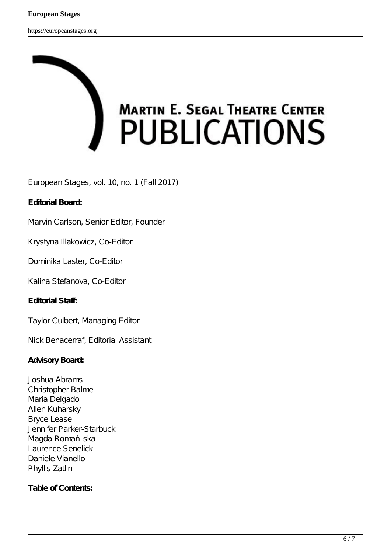# **MARTIN E. SEGAL THEATRE CENTER PUBLICATIONS**

European Stages, vol. 10, no. 1 (Fall 2017)

### **Editorial Board:**

Marvin Carlson, Senior Editor, Founder

Krystyna Illakowicz, Co-Editor

Dominika Laster, Co-Editor

Kalina Stefanova, Co-Editor

**Editorial Staff:**

Taylor Culbert, Managing Editor

Nick Benacerraf, Editorial Assistant

#### **Advisory Board:**

Joshua Abrams Christopher Balme Maria Delgado Allen Kuharsky Bryce Lease Jennifer Parker-Starbuck Magda Roma ska Laurence Senelick Daniele Vianello Phyllis Zatlin

### **Table of Contents:**